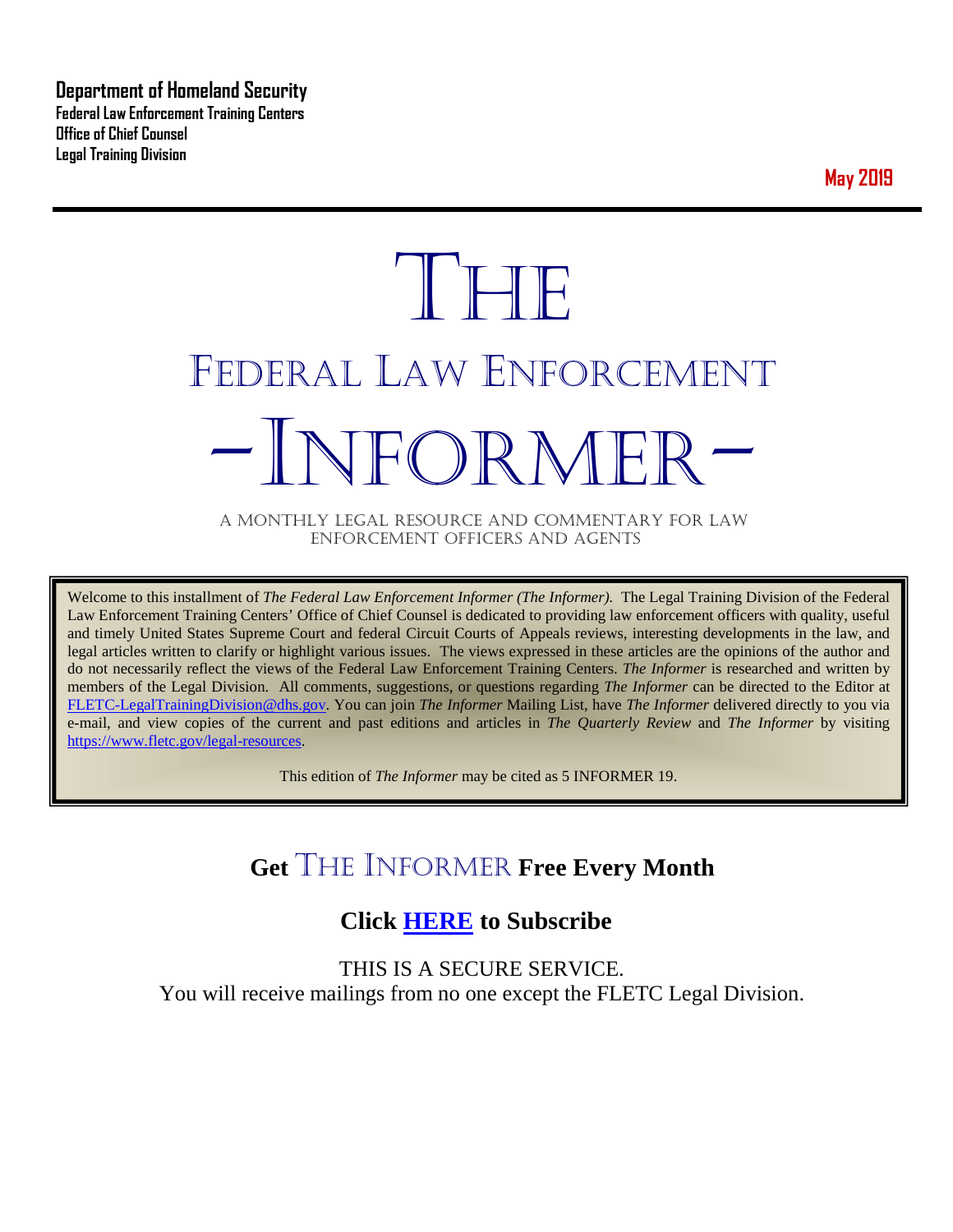**Department of Homeland Security Federal Law Enforcement Training Centers Office of Chief Counsel Legal Training Division** 

**May 2019**

# **THE** FEDERAL LAW ENFORCEMENT -INFORMER- A MONTHLY LEGAL RESOURCE AND COMMENTARY FOR LAW

ENFORCEMENT OFFICERS AND AGENTS

Welcome to this installment of *The Federal Law Enforcement Informer (The Informer).* The Legal Training Division of the Federal Law Enforcement Training Centers' Office of Chief Counsel is dedicated to providing law enforcement officers with quality, useful and timely United States Supreme Court and federal Circuit Courts of Appeals reviews, interesting developments in the law, and legal articles written to clarify or highlight various issues. The views expressed in these articles are the opinions of the author and do not necessarily reflect the views of the Federal Law Enforcement Training Centers. *The Informer* is researched and written by members of the Legal Division. All comments, suggestions, or questions regarding *The Informer* can be directed to the Editor at [FLETC-LegalTrainingDivision@dhs.gov.](mailto:FLETC-LegalTrainingDivision@dhs.gov) You can join *The Informer* Mailing List, have *The Informer* delivered directly to you via e-mail, and view copies of the current and past editions and articles in *The Quarterly Review* and *The Informer* by visiting [https://www.fletc.gov/legal-resources.](https://www.fletc.gov/legal-resources)

This edition of *The Informer* may be cited as 5 INFORMER 19.

# **Get** THE INFORMER **Free Every Month**

# **Click [HERE](https://app.co-sender.com/opt-in/list/7b007eab-378b-4542-807f-44d6de94cb7e) to Subscribe**

THIS IS A SECURE SERVICE. You will receive mailings from no one except the FLETC Legal Division.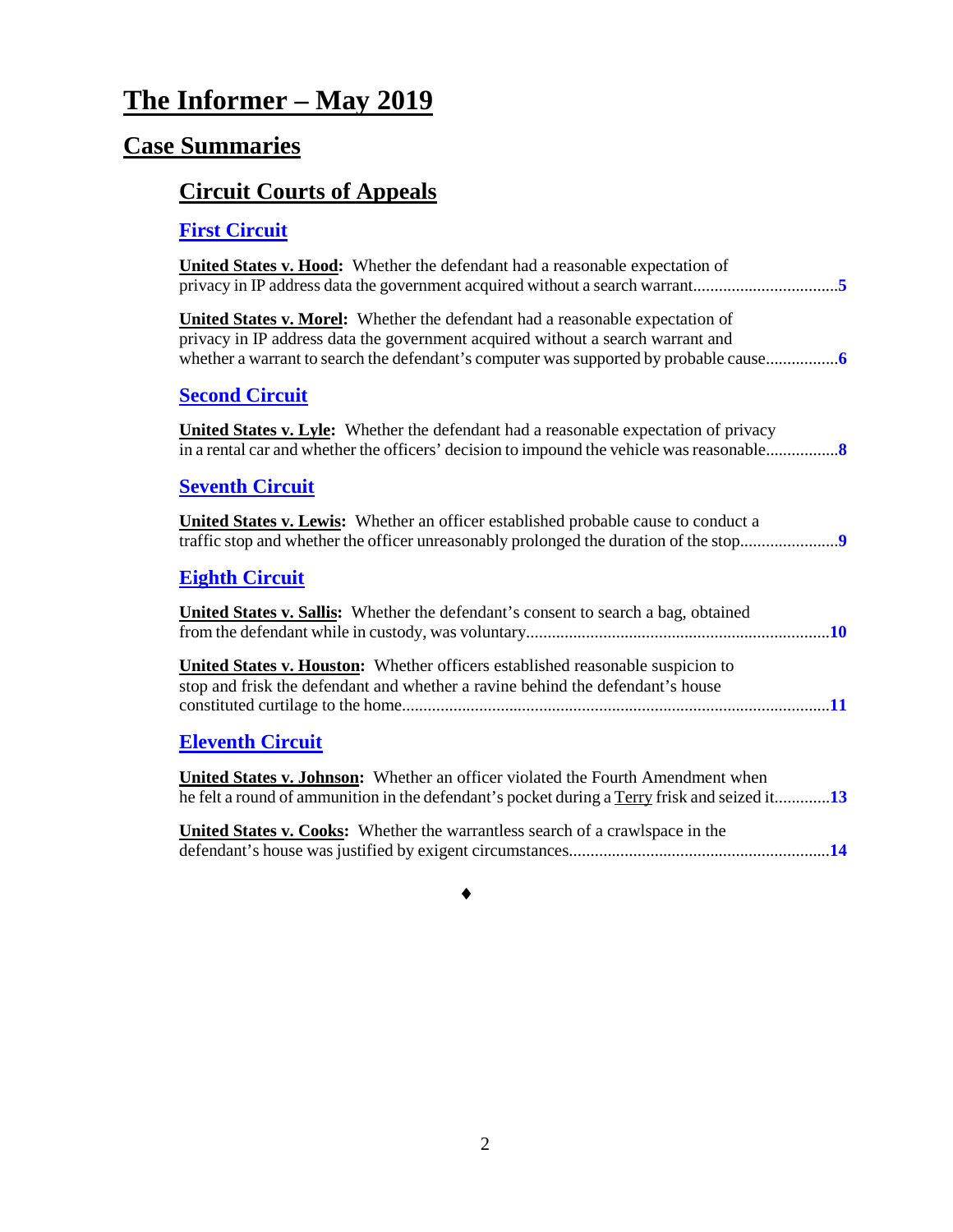# **The Informer – May 2019**

# **Case Summaries**

# **[Circuit Courts of Appeals](#page-4-0)**

# **[First Circuit](#page-4-1)**

| United States v. Hood: Whether the defendant had a reasonable expectation of                                                                                                                                                                                    |
|-----------------------------------------------------------------------------------------------------------------------------------------------------------------------------------------------------------------------------------------------------------------|
| <b>United States v. Morel:</b> Whether the defendant had a reasonable expectation of<br>privacy in IP address data the government acquired without a search warrant and<br>whether a warrant to search the defendant's computer was supported by probable cause |
| <b>Second Circuit</b>                                                                                                                                                                                                                                           |
| <b>United States v. Lyle:</b> Whether the defendant had a reasonable expectation of privacy<br>in a rental car and whether the officers' decision to impound the vehicle was reasonable                                                                         |
| <b>Seventh Circuit</b>                                                                                                                                                                                                                                          |
| <b>United States v. Lewis:</b> Whether an officer established probable cause to conduct a<br>traffic stop and whether the officer unreasonably prolonged the duration of the stop                                                                               |
| <b>Eighth Circuit</b>                                                                                                                                                                                                                                           |
| <b>United States v. Sallis:</b> Whether the defendant's consent to search a bag, obtained                                                                                                                                                                       |
| <b>United States v. Houston:</b> Whether officers established reasonable suspicion to<br>stop and frisk the defendant and whether a ravine behind the defendant's house                                                                                         |
| <b>Eleventh Circuit</b>                                                                                                                                                                                                                                         |
| <b>United States v. Johnson:</b> Whether an officer violated the Fourth Amendment when<br>he felt a round of ammunition in the defendant's pocket during a Terry frisk and seized it13                                                                          |
| <b>United States v. Cooks:</b> Whether the warrantless search of a crawlspace in the                                                                                                                                                                            |
|                                                                                                                                                                                                                                                                 |

### ♦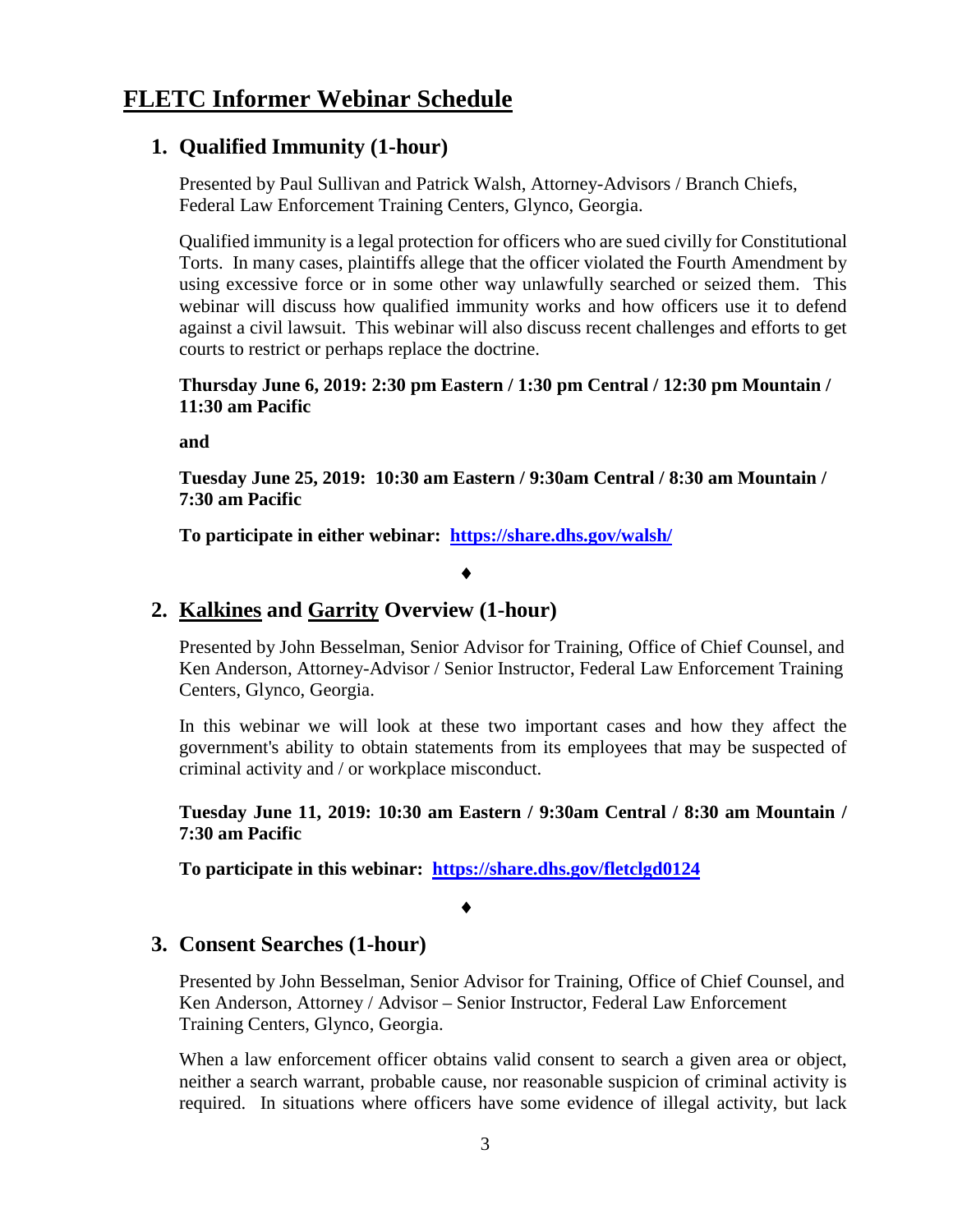### **1. Qualified Immunity (1-hour)**

Presented by Paul Sullivan and Patrick Walsh, Attorney-Advisors / Branch Chiefs, Federal Law Enforcement Training Centers, Glynco, Georgia.

Qualified immunity is a legal protection for officers who are sued civilly for Constitutional Torts. In many cases, plaintiffs allege that the officer violated the Fourth Amendment by using excessive force or in some other way unlawfully searched or seized them. This webinar will discuss how qualified immunity works and how officers use it to defend against a civil lawsuit. This webinar will also discuss recent challenges and efforts to get courts to restrict or perhaps replace the doctrine.

**Thursday June 6, 2019: 2:30 pm Eastern / 1:30 pm Central / 12:30 pm Mountain / 11:30 am Pacific**

**and**

**Tuesday June 25, 2019: 10:30 am Eastern / 9:30am Central / 8:30 am Mountain / 7:30 am Pacific** 

**To participate in either webinar: <https://share.dhs.gov/walsh/>**

### ♦

### **2. Kalkines and Garrity Overview (1-hour)**

Presented by John Besselman, Senior Advisor for Training, Office of Chief Counsel, and Ken Anderson, Attorney-Advisor / Senior Instructor, Federal Law Enforcement Training Centers, Glynco, Georgia.

In this webinar we will look at these two important cases and how they affect the government's ability to obtain statements from its employees that may be suspected of criminal activity and / or workplace misconduct.

**Tuesday June 11, 2019: 10:30 am Eastern / 9:30am Central / 8:30 am Mountain / 7:30 am Pacific** 

**To participate in this webinar: <https://share.dhs.gov/fletclgd0124>**

#### ♦

### **3. Consent Searches (1-hour)**

Presented by John Besselman, Senior Advisor for Training, Office of Chief Counsel, and Ken Anderson, Attorney / Advisor – Senior Instructor, Federal Law Enforcement Training Centers, Glynco, Georgia.

When a law enforcement officer obtains valid consent to search a given area or object, neither a search warrant, probable cause, nor reasonable suspicion of criminal activity is required. In situations where officers have some evidence of illegal activity, but lack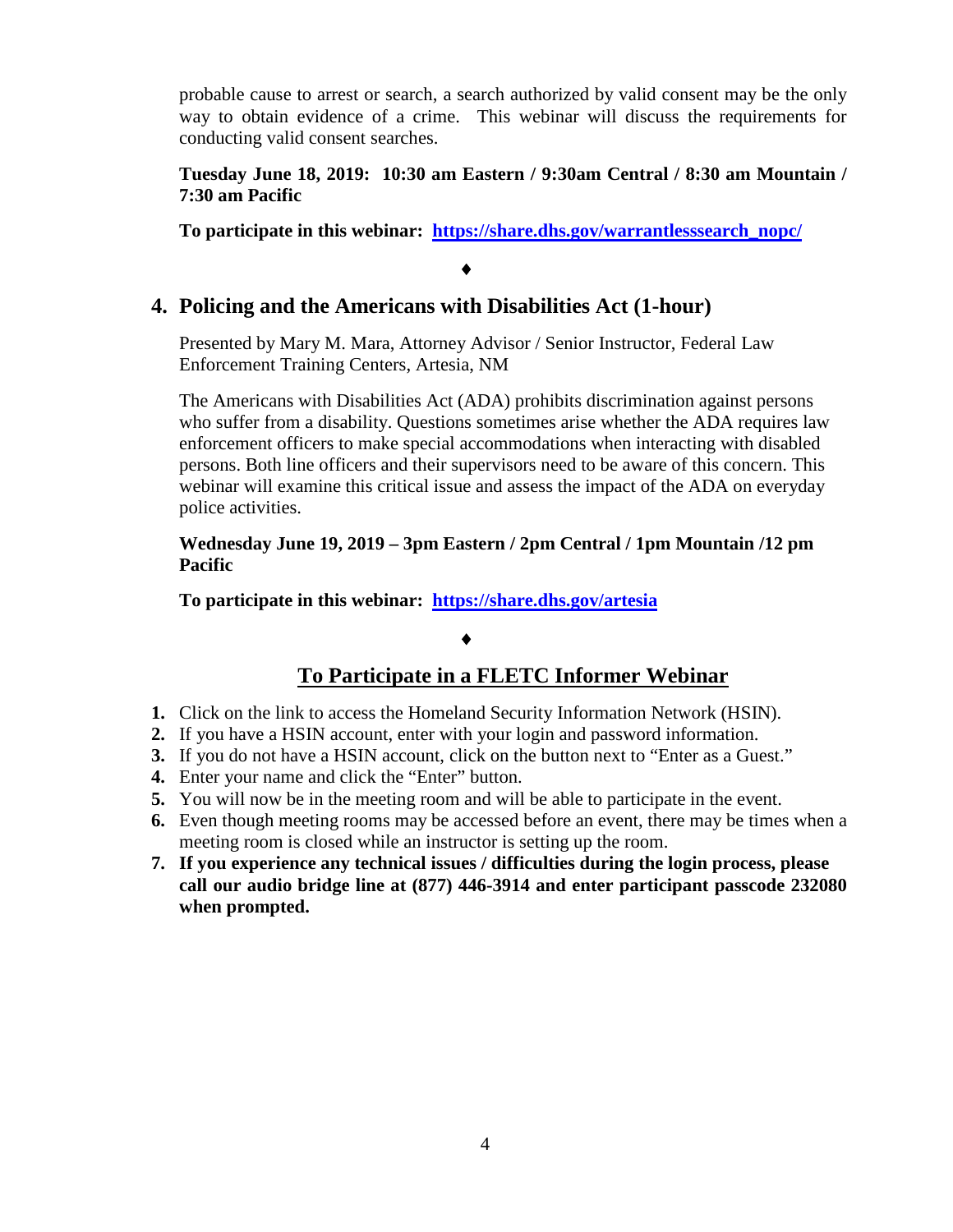probable cause to arrest or search, a search authorized by valid consent may be the only way to obtain evidence of a crime. This webinar will discuss the requirements for conducting valid consent searches.

### **Tuesday June 18, 2019: 10:30 am Eastern / 9:30am Central / 8:30 am Mountain / 7:30 am Pacific**

**To participate in this webinar: [https://share.dhs.gov/warrantlesssearch\\_nopc/](https://share.dhs.gov/warrantlesssearch_nopc/)**

### **4. Policing and the Americans with Disabilities Act (1-hour)**

Presented by Mary M. Mara, Attorney Advisor / Senior Instructor, Federal Law Enforcement Training Centers, Artesia, NM

♦

The Americans with Disabilities Act (ADA) prohibits discrimination against persons who suffer from a disability. Questions sometimes arise whether the ADA requires law enforcement officers to make special accommodations when interacting with disabled persons. Both line officers and their supervisors need to be aware of this concern. This webinar will examine this critical issue and assess the impact of the ADA on everyday police activities.

**Wednesday June 19, 2019 – 3pm Eastern / 2pm Central / 1pm Mountain /12 pm Pacific**

**To participate in this webinar: <https://share.dhs.gov/artesia>**

### ♦

### **To Participate in a FLETC Informer Webinar**

- **1.** Click on the link to access the Homeland Security Information Network (HSIN).
- **2.** If you have a HSIN account, enter with your login and password information.
- **3.** If you do not have a HSIN account, click on the button next to "Enter as a Guest."
- **4.** Enter your name and click the "Enter" button.
- **5.** You will now be in the meeting room and will be able to participate in the event.
- **6.** Even though meeting rooms may be accessed before an event, there may be times when a meeting room is closed while an instructor is setting up the room.
- **7. If you experience any technical issues / difficulties during the login process, please call our audio bridge line at (877) 446-3914 and enter participant passcode 232080 when prompted.**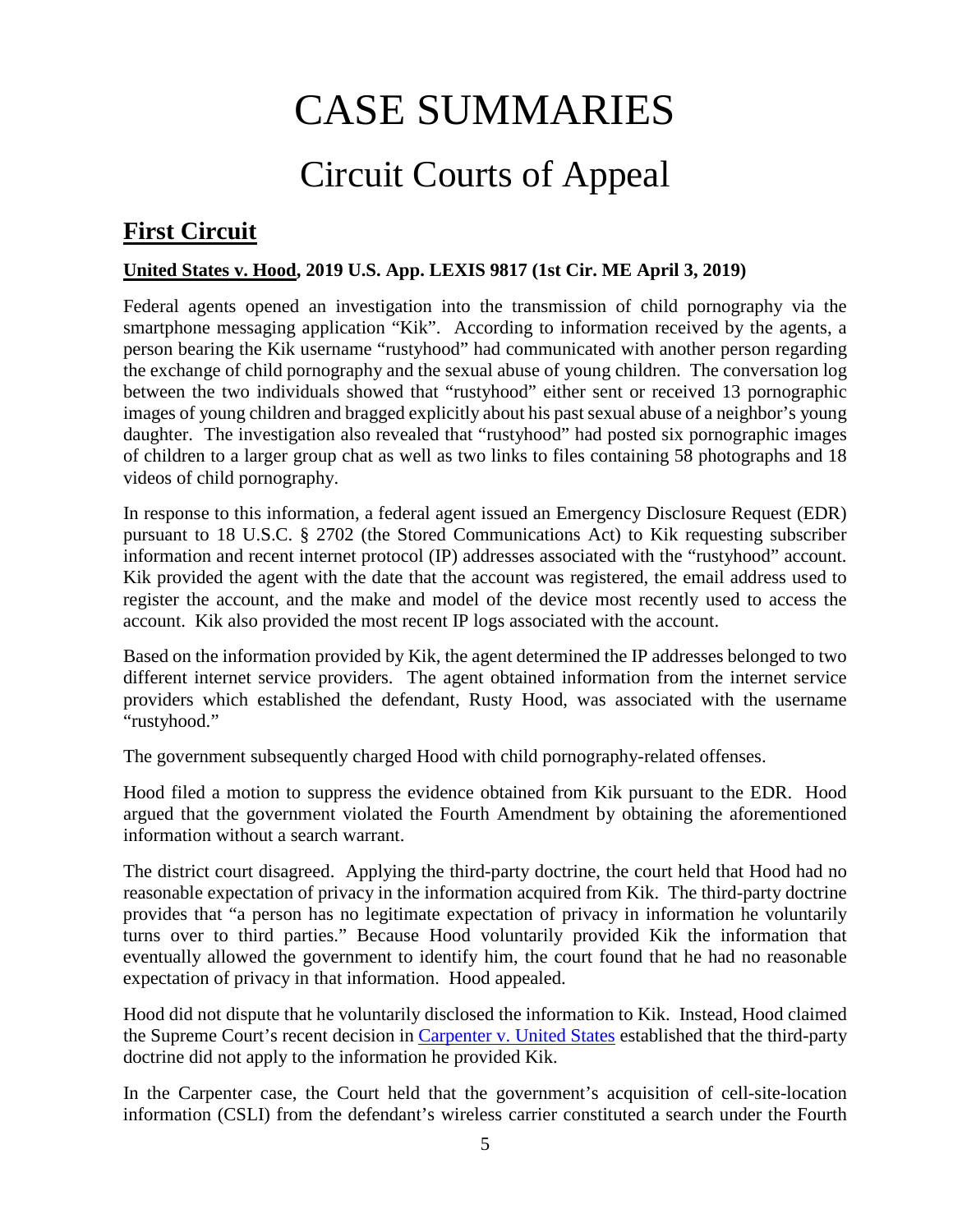# CASE SUMMARIES

# Circuit Courts of Appeal

# <span id="page-4-1"></span><span id="page-4-0"></span>**First Circuit**

### <span id="page-4-2"></span>**United States v. Hood, 2019 U.S. App. LEXIS 9817 (1st Cir. ME April 3, 2019)**

Federal agents opened an investigation into the transmission of child pornography via the smartphone messaging application "Kik". According to information received by the agents, a person bearing the Kik username "rustyhood" had communicated with another person regarding the exchange of child pornography and the sexual abuse of young children. The conversation log between the two individuals showed that "rustyhood" either sent or received 13 pornographic images of young children and bragged explicitly about his past sexual abuse of a neighbor's young daughter. The investigation also revealed that "rustyhood" had posted six pornographic images of children to a larger group chat as well as two links to files containing 58 photographs and 18 videos of child pornography.

In response to this information, a federal agent issued an Emergency Disclosure Request (EDR) pursuant to 18 U.S.C. § 2702 (the Stored Communications Act) to Kik requesting subscriber information and recent internet protocol (IP) addresses associated with the "rustyhood" account. Kik provided the agent with the date that the account was registered, the email address used to register the account, and the make and model of the device most recently used to access the account. Kik also provided the most recent IP logs associated with the account.

Based on the information provided by Kik, the agent determined the IP addresses belonged to two different internet service providers. The agent obtained information from the internet service providers which established the defendant, Rusty Hood, was associated with the username "rustyhood."

The government subsequently charged Hood with child pornography-related offenses.

Hood filed a motion to suppress the evidence obtained from Kik pursuant to the EDR. Hood argued that the government violated the Fourth Amendment by obtaining the aforementioned information without a search warrant.

The district court disagreed. Applying the third-party doctrine, the court held that Hood had no reasonable expectation of privacy in the information acquired from Kik. The third-party doctrine provides that "a person has no legitimate expectation of privacy in information he voluntarily turns over to third parties." Because Hood voluntarily provided Kik the information that eventually allowed the government to identify him, the court found that he had no reasonable expectation of privacy in that information. Hood appealed.

Hood did not dispute that he voluntarily disclosed the information to Kik. Instead, Hood claimed the Supreme Court's recent decision in [Carpenter v. United States](https://www.supremecourt.gov/opinions/17pdf/16-402_h315.pdf) established that the third-party doctrine did not apply to the information he provided Kik.

In the Carpenter case, the Court held that the government's acquisition of cell-site-location information (CSLI) from the defendant's wireless carrier constituted a search under the Fourth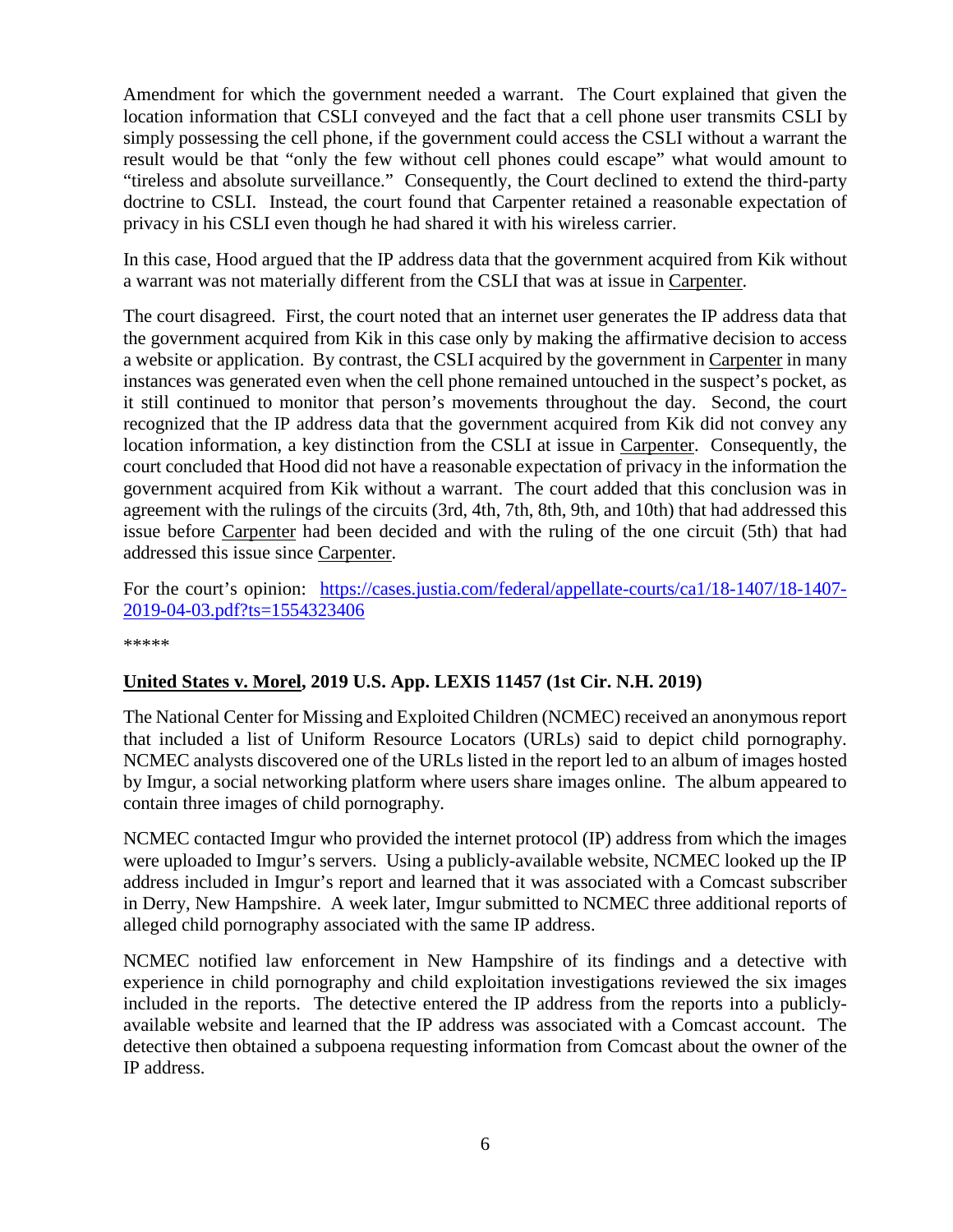Amendment for which the government needed a warrant. The Court explained that given the location information that CSLI conveyed and the fact that a cell phone user transmits CSLI by simply possessing the cell phone, if the government could access the CSLI without a warrant the result would be that "only the few without cell phones could escape" what would amount to "tireless and absolute surveillance." Consequently, the Court declined to extend the third-party doctrine to CSLI. Instead, the court found that Carpenter retained a reasonable expectation of privacy in his CSLI even though he had shared it with his wireless carrier.

In this case, Hood argued that the IP address data that the government acquired from Kik without a warrant was not materially different from the CSLI that was at issue in Carpenter.

The court disagreed. First, the court noted that an internet user generates the IP address data that the government acquired from Kik in this case only by making the affirmative decision to access a website or application. By contrast, the CSLI acquired by the government in Carpenter in many instances was generated even when the cell phone remained untouched in the suspect's pocket, as it still continued to monitor that person's movements throughout the day. Second, the court recognized that the IP address data that the government acquired from Kik did not convey any location information, a key distinction from the CSLI at issue in Carpenter. Consequently, the court concluded that Hood did not have a reasonable expectation of privacy in the information the government acquired from Kik without a warrant. The court added that this conclusion was in agreement with the rulings of the circuits (3rd, 4th, 7th, 8th, 9th, and 10th) that had addressed this issue before Carpenter had been decided and with the ruling of the one circuit (5th) that had addressed this issue since Carpenter.

For the court's opinion: [https://cases.justia.com/federal/appellate-courts/ca1/18-1407/18-1407-](https://cases.justia.com/federal/appellate-courts/ca1/18-1407/18-1407-2019-04-03.pdf?ts=1554323406) [2019-04-03.pdf?ts=1554323406](https://cases.justia.com/federal/appellate-courts/ca1/18-1407/18-1407-2019-04-03.pdf?ts=1554323406)

\*\*\*\*\*

### <span id="page-5-0"></span>**United States v. Morel, 2019 U.S. App. LEXIS 11457 (1st Cir. N.H. 2019)**

The National Center for Missing and Exploited Children (NCMEC) received an anonymous report that included a list of Uniform Resource Locators (URLs) said to depict child pornography. NCMEC analysts discovered one of the URLs listed in the report led to an album of images hosted by Imgur, a social networking platform where users share images online. The album appeared to contain three images of child pornography.

NCMEC contacted Imgur who provided the internet protocol (IP) address from which the images were uploaded to Imgur's servers. Using a publicly-available website, NCMEC looked up the IP address included in Imgur's report and learned that it was associated with a Comcast subscriber in Derry, New Hampshire. A week later, Imgur submitted to NCMEC three additional reports of alleged child pornography associated with the same IP address.

NCMEC notified law enforcement in New Hampshire of its findings and a detective with experience in child pornography and child exploitation investigations reviewed the six images included in the reports. The detective entered the IP address from the reports into a publiclyavailable website and learned that the IP address was associated with a Comcast account. The detective then obtained a subpoena requesting information from Comcast about the owner of the IP address.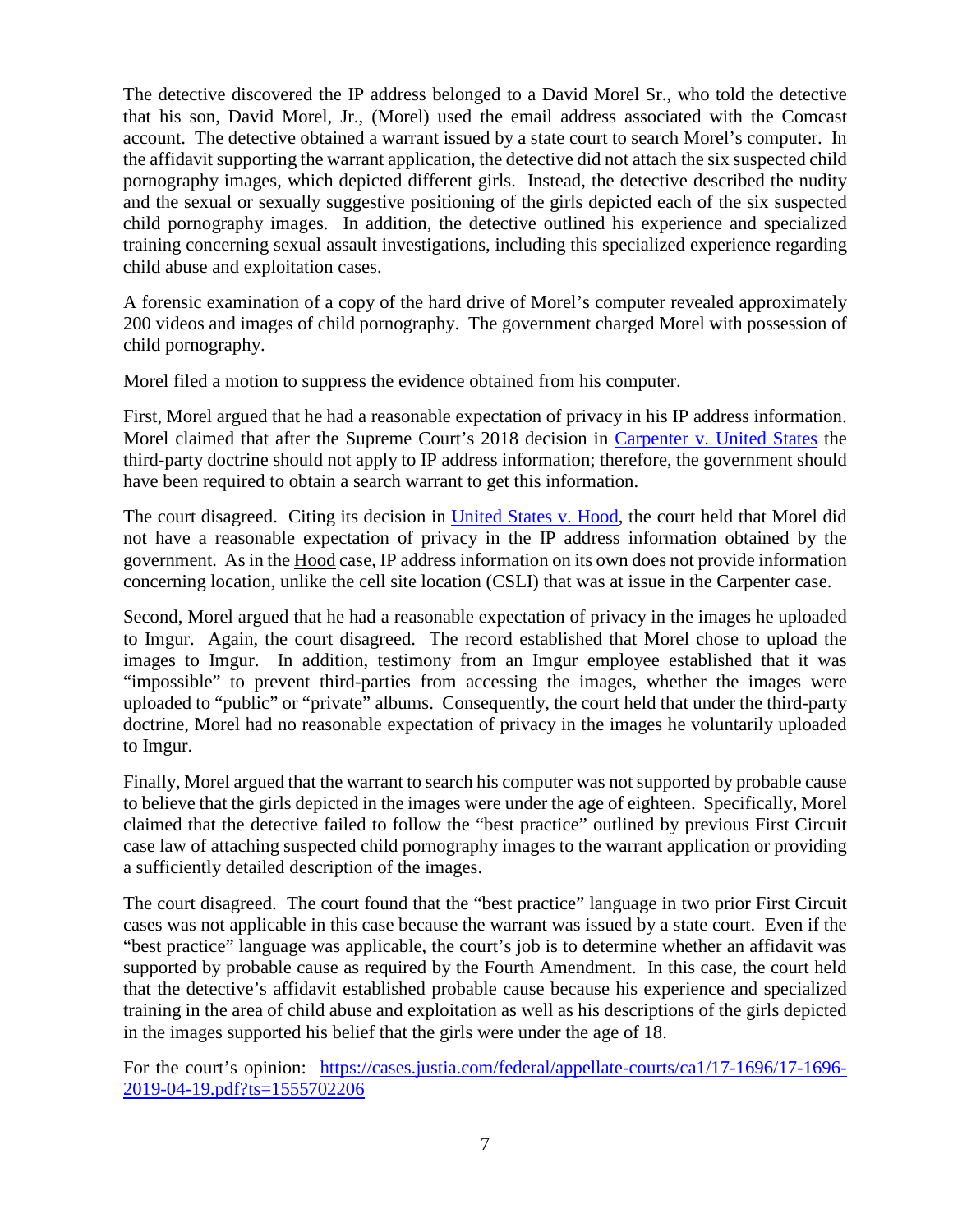The detective discovered the IP address belonged to a David Morel Sr., who told the detective that his son, David Morel, Jr., (Morel) used the email address associated with the Comcast account. The detective obtained a warrant issued by a state court to search Morel's computer. In the affidavit supporting the warrant application, the detective did not attach the six suspected child pornography images, which depicted different girls. Instead, the detective described the nudity and the sexual or sexually suggestive positioning of the girls depicted each of the six suspected child pornography images. In addition, the detective outlined his experience and specialized training concerning sexual assault investigations, including this specialized experience regarding child abuse and exploitation cases.

A forensic examination of a copy of the hard drive of Morel's computer revealed approximately 200 videos and images of child pornography. The government charged Morel with possession of child pornography.

Morel filed a motion to suppress the evidence obtained from his computer.

First, Morel argued that he had a reasonable expectation of privacy in his IP address information. Morel claimed that after the Supreme Court's 2018 decision in [Carpenter v. United States](https://www.supremecourt.gov/opinions/17pdf/16-402_h315.pdf) the third-party doctrine should not apply to IP address information; therefore, the government should have been required to obtain a search warrant to get this information.

The court disagreed. Citing its decision in [United States v. Hood,](#page-4-2) the court held that Morel did not have a reasonable expectation of privacy in the IP address information obtained by the government. As in the Hood case, IP address information on its own does not provide information concerning location, unlike the cell site location (CSLI) that was at issue in the Carpenter case.

Second, Morel argued that he had a reasonable expectation of privacy in the images he uploaded to Imgur. Again, the court disagreed. The record established that Morel chose to upload the images to Imgur. In addition, testimony from an Imgur employee established that it was "impossible" to prevent third-parties from accessing the images, whether the images were uploaded to "public" or "private" albums. Consequently, the court held that under the third-party doctrine, Morel had no reasonable expectation of privacy in the images he voluntarily uploaded to Imgur.

Finally, Morel argued that the warrant to search his computer was not supported by probable cause to believe that the girls depicted in the images were under the age of eighteen. Specifically, Morel claimed that the detective failed to follow the "best practice" outlined by previous First Circuit case law of attaching suspected child pornography images to the warrant application or providing a sufficiently detailed description of the images.

The court disagreed. The court found that the "best practice" language in two prior First Circuit cases was not applicable in this case because the warrant was issued by a state court. Even if the "best practice" language was applicable, the court's job is to determine whether an affidavit was supported by probable cause as required by the Fourth Amendment. In this case, the court held that the detective's affidavit established probable cause because his experience and specialized training in the area of child abuse and exploitation as well as his descriptions of the girls depicted in the images supported his belief that the girls were under the age of 18.

For the court's opinion: [https://cases.justia.com/federal/appellate-courts/ca1/17-1696/17-1696-](https://cases.justia.com/federal/appellate-courts/ca1/17-1696/17-1696-2019-04-19.pdf?ts=1555702206) [2019-04-19.pdf?ts=1555702206](https://cases.justia.com/federal/appellate-courts/ca1/17-1696/17-1696-2019-04-19.pdf?ts=1555702206)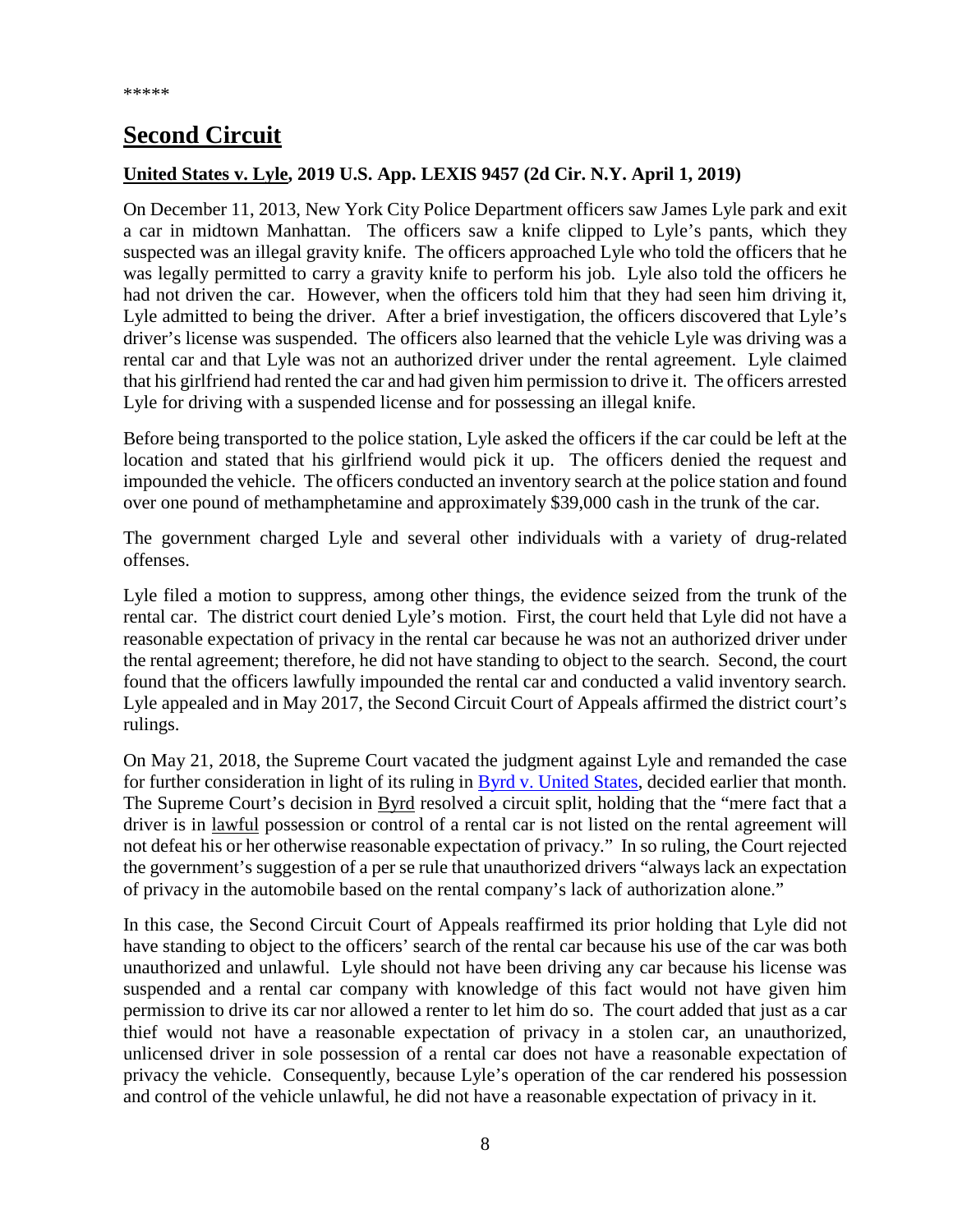# <span id="page-7-0"></span>**Second Circuit**

### <span id="page-7-1"></span>**United States v. Lyle, 2019 U.S. App. LEXIS 9457 (2d Cir. N.Y. April 1, 2019)**

On December 11, 2013, New York City Police Department officers saw James Lyle park and exit a car in midtown Manhattan. The officers saw a knife clipped to Lyle's pants, which they suspected was an illegal gravity knife. The officers approached Lyle who told the officers that he was legally permitted to carry a gravity knife to perform his job. Lyle also told the officers he had not driven the car. However, when the officers told him that they had seen him driving it, Lyle admitted to being the driver. After a brief investigation, the officers discovered that Lyle's driver's license was suspended. The officers also learned that the vehicle Lyle was driving was a rental car and that Lyle was not an authorized driver under the rental agreement. Lyle claimed that his girlfriend had rented the car and had given him permission to drive it. The officers arrested Lyle for driving with a suspended license and for possessing an illegal knife.

Before being transported to the police station, Lyle asked the officers if the car could be left at the location and stated that his girlfriend would pick it up. The officers denied the request and impounded the vehicle. The officers conducted an inventory search at the police station and found over one pound of methamphetamine and approximately \$39,000 cash in the trunk of the car.

The government charged Lyle and several other individuals with a variety of drug-related offenses.

Lyle filed a motion to suppress, among other things, the evidence seized from the trunk of the rental car. The district court denied Lyle's motion. First, the court held that Lyle did not have a reasonable expectation of privacy in the rental car because he was not an authorized driver under the rental agreement; therefore, he did not have standing to object to the search. Second, the court found that the officers lawfully impounded the rental car and conducted a valid inventory search. Lyle appealed and in May 2017, the Second Circuit Court of Appeals affirmed the district court's rulings.

On May 21, 2018, the Supreme Court vacated the judgment against Lyle and remanded the case for further consideration in light of its ruling in [Byrd v. United States,](https://www.supremecourt.gov/opinions/17pdf/16-1371_1bn2.pdf) decided earlier that month. The Supreme Court's decision in Byrd resolved a circuit split, holding that the "mere fact that a driver is in lawful possession or control of a rental car is not listed on the rental agreement will not defeat his or her otherwise reasonable expectation of privacy." In so ruling, the Court rejected the government's suggestion of a per se rule that unauthorized drivers "always lack an expectation of privacy in the automobile based on the rental company's lack of authorization alone."

In this case, the Second Circuit Court of Appeals reaffirmed its prior holding that Lyle did not have standing to object to the officers' search of the rental car because his use of the car was both unauthorized and unlawful. Lyle should not have been driving any car because his license was suspended and a rental car company with knowledge of this fact would not have given him permission to drive its car nor allowed a renter to let him do so. The court added that just as a car thief would not have a reasonable expectation of privacy in a stolen car, an unauthorized, unlicensed driver in sole possession of a rental car does not have a reasonable expectation of privacy the vehicle. Consequently, because Lyle's operation of the car rendered his possession and control of the vehicle unlawful, he did not have a reasonable expectation of privacy in it.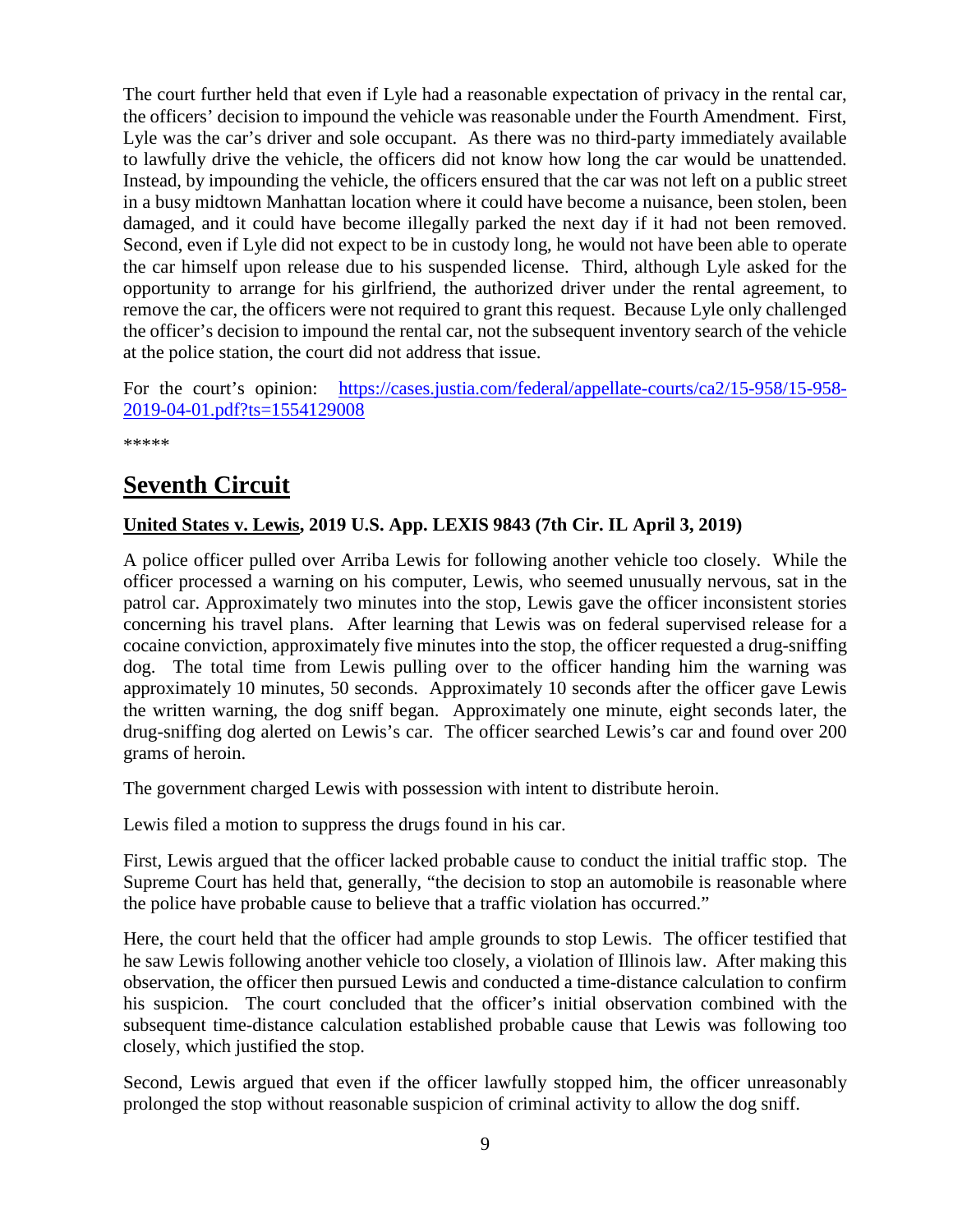The court further held that even if Lyle had a reasonable expectation of privacy in the rental car, the officers' decision to impound the vehicle was reasonable under the Fourth Amendment. First, Lyle was the car's driver and sole occupant. As there was no third-party immediately available to lawfully drive the vehicle, the officers did not know how long the car would be unattended. Instead, by impounding the vehicle, the officers ensured that the car was not left on a public street in a busy midtown Manhattan location where it could have become a nuisance, been stolen, been damaged, and it could have become illegally parked the next day if it had not been removed. Second, even if Lyle did not expect to be in custody long, he would not have been able to operate the car himself upon release due to his suspended license. Third, although Lyle asked for the opportunity to arrange for his girlfriend, the authorized driver under the rental agreement, to remove the car, the officers were not required to grant this request. Because Lyle only challenged the officer's decision to impound the rental car, not the subsequent inventory search of the vehicle at the police station, the court did not address that issue.

For the court's opinion: [https://cases.justia.com/federal/appellate-courts/ca2/15-958/15-958-](https://cases.justia.com/federal/appellate-courts/ca2/15-958/15-958-2019-04-01.pdf?ts=1554129008) [2019-04-01.pdf?ts=1554129008](https://cases.justia.com/federal/appellate-courts/ca2/15-958/15-958-2019-04-01.pdf?ts=1554129008)

\*\*\*\*\*

### <span id="page-8-0"></span>**Seventh Circuit**

### <span id="page-8-1"></span>**United States v. Lewis, 2019 U.S. App. LEXIS 9843 (7th Cir. IL April 3, 2019)**

A police officer pulled over Arriba Lewis for following another vehicle too closely. While the officer processed a warning on his computer, Lewis, who seemed unusually nervous, sat in the patrol car. Approximately two minutes into the stop, Lewis gave the officer inconsistent stories concerning his travel plans. After learning that Lewis was on federal supervised release for a cocaine conviction, approximately five minutes into the stop, the officer requested a drug-sniffing dog. The total time from Lewis pulling over to the officer handing him the warning was approximately 10 minutes, 50 seconds. Approximately 10 seconds after the officer gave Lewis the written warning, the dog sniff began. Approximately one minute, eight seconds later, the drug-sniffing dog alerted on Lewis's car. The officer searched Lewis's car and found over 200 grams of heroin.

The government charged Lewis with possession with intent to distribute heroin.

Lewis filed a motion to suppress the drugs found in his car.

First, Lewis argued that the officer lacked probable cause to conduct the initial traffic stop. The Supreme Court has held that, generally, "the decision to stop an automobile is reasonable where the police have probable cause to believe that a traffic violation has occurred."

Here, the court held that the officer had ample grounds to stop Lewis. The officer testified that he saw Lewis following another vehicle too closely, a violation of Illinois law. After making this observation, the officer then pursued Lewis and conducted a time-distance calculation to confirm his suspicion. The court concluded that the officer's initial observation combined with the subsequent time-distance calculation established probable cause that Lewis was following too closely, which justified the stop.

Second, Lewis argued that even if the officer lawfully stopped him, the officer unreasonably prolonged the stop without reasonable suspicion of criminal activity to allow the dog sniff.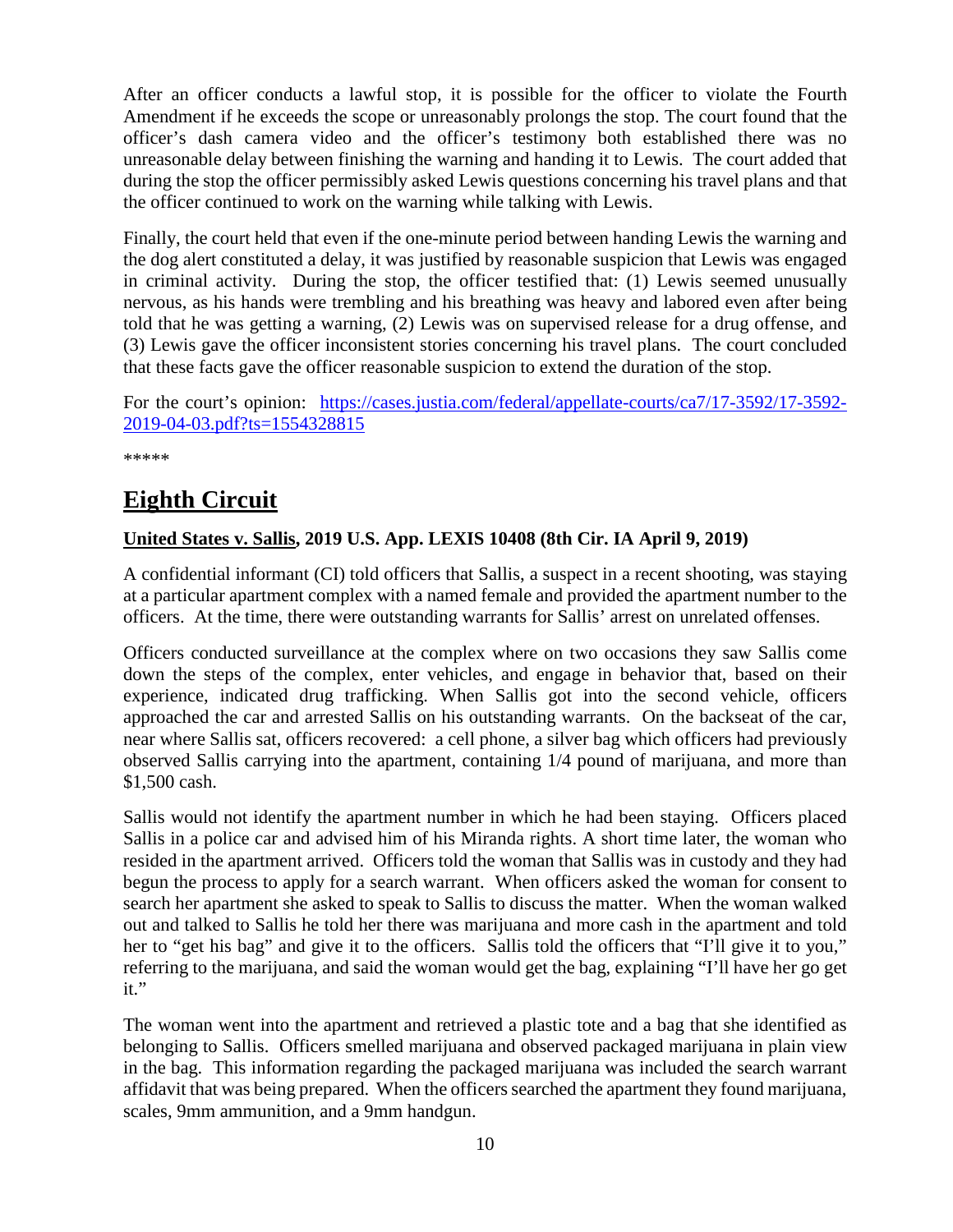After an officer conducts a lawful stop, it is possible for the officer to violate the Fourth Amendment if he exceeds the scope or unreasonably prolongs the stop. The court found that the officer's dash camera video and the officer's testimony both established there was no unreasonable delay between finishing the warning and handing it to Lewis. The court added that during the stop the officer permissibly asked Lewis questions concerning his travel plans and that the officer continued to work on the warning while talking with Lewis.

Finally, the court held that even if the one-minute period between handing Lewis the warning and the dog alert constituted a delay, it was justified by reasonable suspicion that Lewis was engaged in criminal activity. During the stop, the officer testified that: (1) Lewis seemed unusually nervous, as his hands were trembling and his breathing was heavy and labored even after being told that he was getting a warning, (2) Lewis was on supervised release for a drug offense, and (3) Lewis gave the officer inconsistent stories concerning his travel plans. The court concluded that these facts gave the officer reasonable suspicion to extend the duration of the stop.

For the court's opinion: [https://cases.justia.com/federal/appellate-courts/ca7/17-3592/17-3592-](https://cases.justia.com/federal/appellate-courts/ca7/17-3592/17-3592-2019-04-03.pdf?ts=1554328815) [2019-04-03.pdf?ts=1554328815](https://cases.justia.com/federal/appellate-courts/ca7/17-3592/17-3592-2019-04-03.pdf?ts=1554328815)

\*\*\*\*\*

# <span id="page-9-0"></span>**Eighth Circuit**

### <span id="page-9-1"></span>**United States v. Sallis, 2019 U.S. App. LEXIS 10408 (8th Cir. IA April 9, 2019)**

A confidential informant (CI) told officers that Sallis, a suspect in a recent shooting, was staying at a particular apartment complex with a named female and provided the apartment number to the officers. At the time, there were outstanding warrants for Sallis' arrest on unrelated offenses.

Officers conducted surveillance at the complex where on two occasions they saw Sallis come down the steps of the complex, enter vehicles, and engage in behavior that, based on their experience, indicated drug trafficking. When Sallis got into the second vehicle, officers approached the car and arrested Sallis on his outstanding warrants. On the backseat of the car, near where Sallis sat, officers recovered: a cell phone, a silver bag which officers had previously observed Sallis carrying into the apartment, containing 1/4 pound of marijuana, and more than \$1,500 cash.

Sallis would not identify the apartment number in which he had been staying. Officers placed Sallis in a police car and advised him of his Miranda rights. A short time later, the woman who resided in the apartment arrived. Officers told the woman that Sallis was in custody and they had begun the process to apply for a search warrant. When officers asked the woman for consent to search her apartment she asked to speak to Sallis to discuss the matter. When the woman walked out and talked to Sallis he told her there was marijuana and more cash in the apartment and told her to "get his bag" and give it to the officers. Sallis told the officers that "I'll give it to you," referring to the marijuana, and said the woman would get the bag, explaining "I'll have her go get it."

The woman went into the apartment and retrieved a plastic tote and a bag that she identified as belonging to Sallis. Officers smelled marijuana and observed packaged marijuana in plain view in the bag. This information regarding the packaged marijuana was included the search warrant affidavit that was being prepared. When the officers searched the apartment they found marijuana, scales, 9mm ammunition, and a 9mm handgun.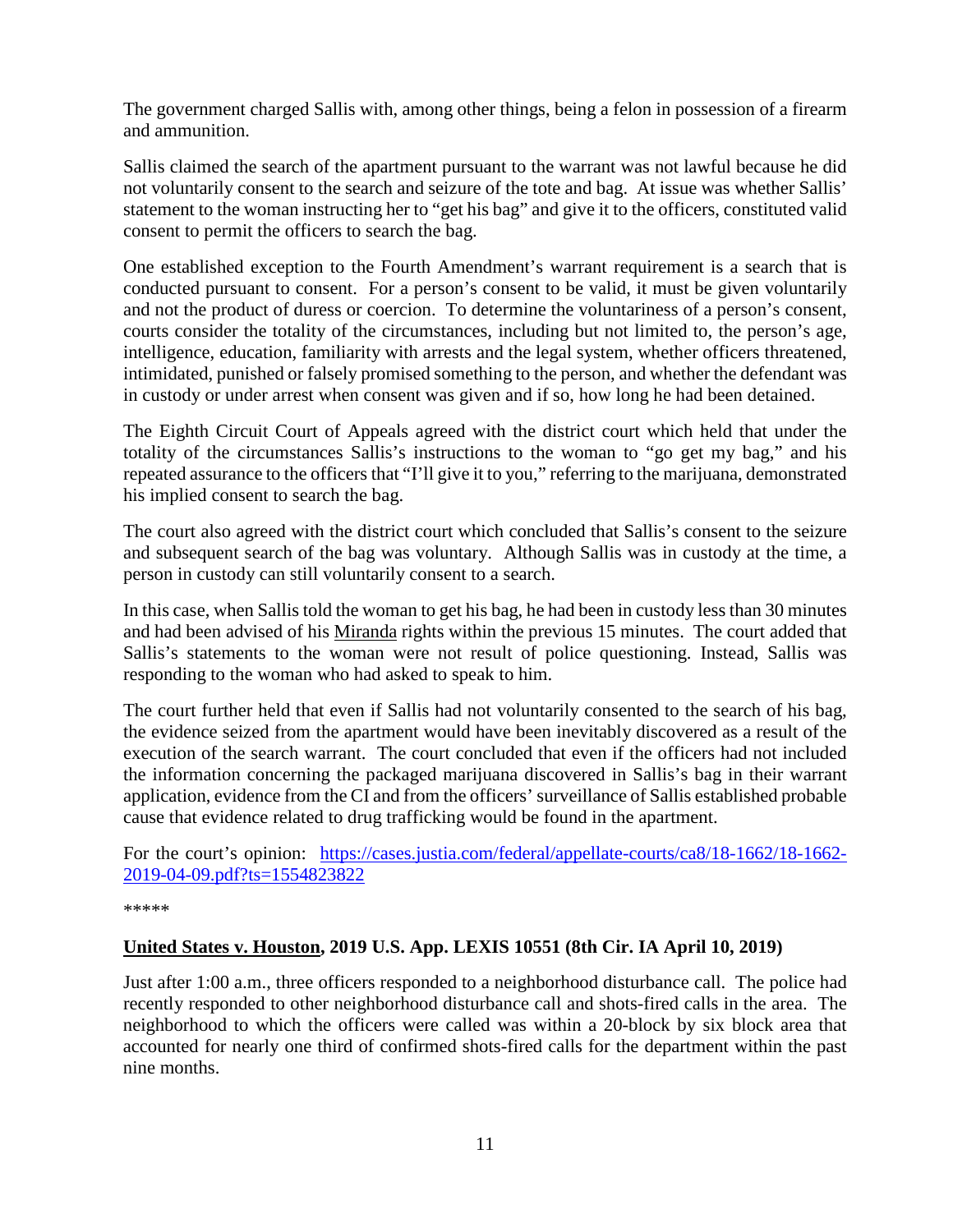The government charged Sallis with, among other things, being a felon in possession of a firearm and ammunition.

Sallis claimed the search of the apartment pursuant to the warrant was not lawful because he did not voluntarily consent to the search and seizure of the tote and bag. At issue was whether Sallis' statement to the woman instructing her to "get his bag" and give it to the officers, constituted valid consent to permit the officers to search the bag.

One established exception to the Fourth Amendment's warrant requirement is a search that is conducted pursuant to consent. For a person's consent to be valid, it must be given voluntarily and not the product of duress or coercion. To determine the voluntariness of a person's consent, courts consider the totality of the circumstances, including but not limited to, the person's age, intelligence, education, familiarity with arrests and the legal system, whether officers threatened, intimidated, punished or falsely promised something to the person, and whether the defendant was in custody or under arrest when consent was given and if so, how long he had been detained.

The Eighth Circuit Court of Appeals agreed with the district court which held that under the totality of the circumstances Sallis's instructions to the woman to "go get my bag," and his repeated assurance to the officers that "I'll give it to you," referring to the marijuana, demonstrated his implied consent to search the bag.

The court also agreed with the district court which concluded that Sallis's consent to the seizure and subsequent search of the bag was voluntary. Although Sallis was in custody at the time, a person in custody can still voluntarily consent to a search.

In this case, when Sallis told the woman to get his bag, he had been in custody less than 30 minutes and had been advised of his Miranda rights within the previous 15 minutes. The court added that Sallis's statements to the woman were not result of police questioning. Instead, Sallis was responding to the woman who had asked to speak to him.

The court further held that even if Sallis had not voluntarily consented to the search of his bag, the evidence seized from the apartment would have been inevitably discovered as a result of the execution of the search warrant. The court concluded that even if the officers had not included the information concerning the packaged marijuana discovered in Sallis's bag in their warrant application, evidence from the CI and from the officers' surveillance of Sallis established probable cause that evidence related to drug trafficking would be found in the apartment.

For the court's opinion: [https://cases.justia.com/federal/appellate-courts/ca8/18-1662/18-1662-](https://cases.justia.com/federal/appellate-courts/ca8/18-1662/18-1662-2019-04-09.pdf?ts=1554823822) [2019-04-09.pdf?ts=1554823822](https://cases.justia.com/federal/appellate-courts/ca8/18-1662/18-1662-2019-04-09.pdf?ts=1554823822)

\*\*\*\*\*

### <span id="page-10-0"></span>**United States v. Houston, 2019 U.S. App. LEXIS 10551 (8th Cir. IA April 10, 2019)**

Just after 1:00 a.m., three officers responded to a neighborhood disturbance call. The police had recently responded to other neighborhood disturbance call and shots-fired calls in the area. The neighborhood to which the officers were called was within a 20-block by six block area that accounted for nearly one third of confirmed shots-fired calls for the department within the past nine months.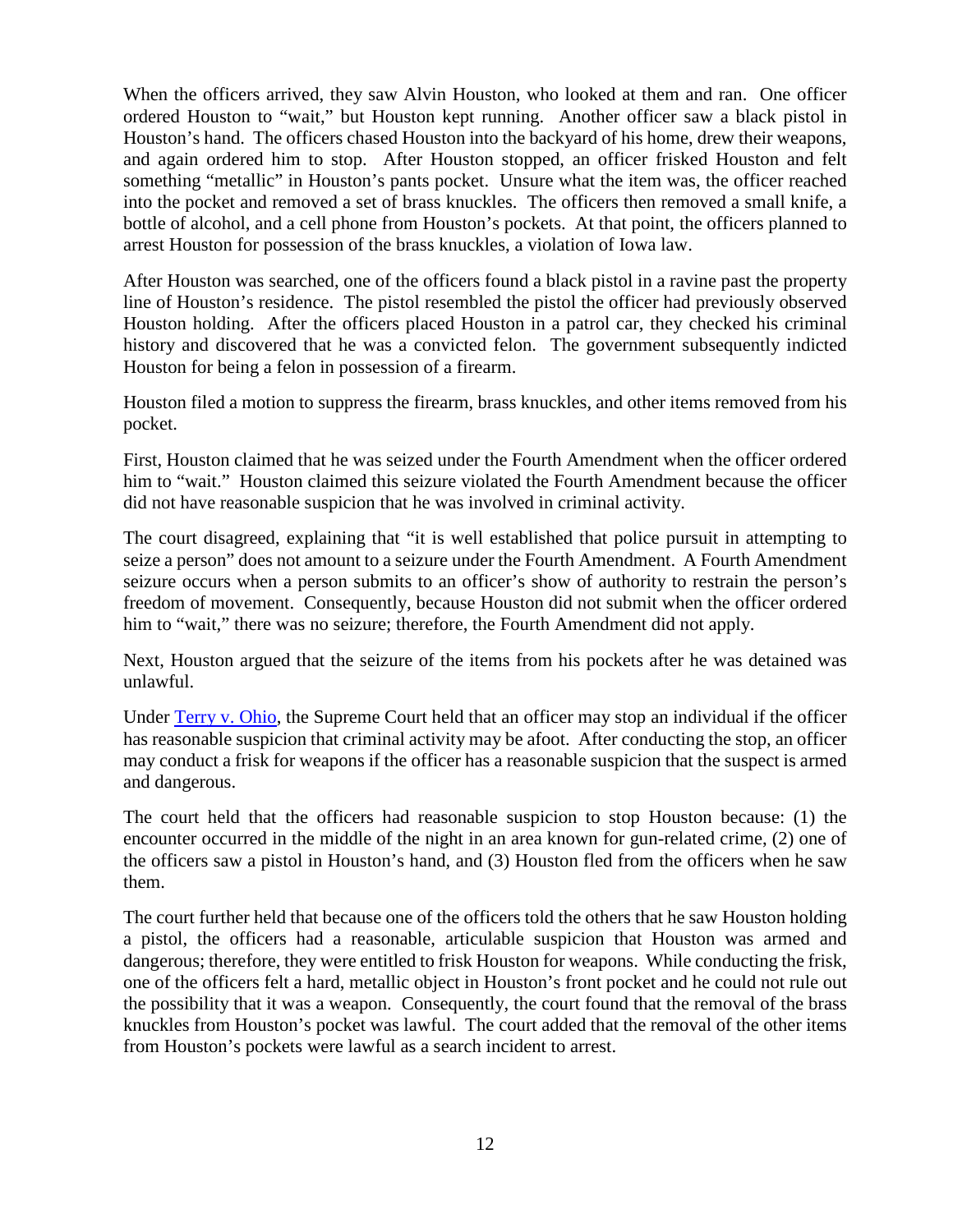When the officers arrived, they saw Alvin Houston, who looked at them and ran. One officer ordered Houston to "wait," but Houston kept running. Another officer saw a black pistol in Houston's hand. The officers chased Houston into the backyard of his home, drew their weapons, and again ordered him to stop. After Houston stopped, an officer frisked Houston and felt something "metallic" in Houston's pants pocket. Unsure what the item was, the officer reached into the pocket and removed a set of brass knuckles. The officers then removed a small knife, a bottle of alcohol, and a cell phone from Houston's pockets. At that point, the officers planned to arrest Houston for possession of the brass knuckles, a violation of Iowa law.

After Houston was searched, one of the officers found a black pistol in a ravine past the property line of Houston's residence. The pistol resembled the pistol the officer had previously observed Houston holding. After the officers placed Houston in a patrol car, they checked his criminal history and discovered that he was a convicted felon. The government subsequently indicted Houston for being a felon in possession of a firearm.

Houston filed a motion to suppress the firearm, brass knuckles, and other items removed from his pocket.

First, Houston claimed that he was seized under the Fourth Amendment when the officer ordered him to "wait." Houston claimed this seizure violated the Fourth Amendment because the officer did not have reasonable suspicion that he was involved in criminal activity.

The court disagreed, explaining that "it is well established that police pursuit in attempting to seize a person" does not amount to a seizure under the Fourth Amendment. A Fourth Amendment seizure occurs when a person submits to an officer's show of authority to restrain the person's freedom of movement. Consequently, because Houston did not submit when the officer ordered him to "wait," there was no seizure; therefore, the Fourth Amendment did not apply.

Next, Houston argued that the seizure of the items from his pockets after he was detained was unlawful.

Under [Terry v. Ohio,](https://supreme.justia.com/cases/federal/us/392/1/) the Supreme Court held that an officer may stop an individual if the officer has reasonable suspicion that criminal activity may be afoot. After conducting the stop, an officer may conduct a frisk for weapons if the officer has a reasonable suspicion that the suspect is armed and dangerous.

The court held that the officers had reasonable suspicion to stop Houston because: (1) the encounter occurred in the middle of the night in an area known for gun-related crime, (2) one of the officers saw a pistol in Houston's hand, and (3) Houston fled from the officers when he saw them.

The court further held that because one of the officers told the others that he saw Houston holding a pistol, the officers had a reasonable, articulable suspicion that Houston was armed and dangerous; therefore, they were entitled to frisk Houston for weapons. While conducting the frisk, one of the officers felt a hard, metallic object in Houston's front pocket and he could not rule out the possibility that it was a weapon. Consequently, the court found that the removal of the brass knuckles from Houston's pocket was lawful. The court added that the removal of the other items from Houston's pockets were lawful as a search incident to arrest.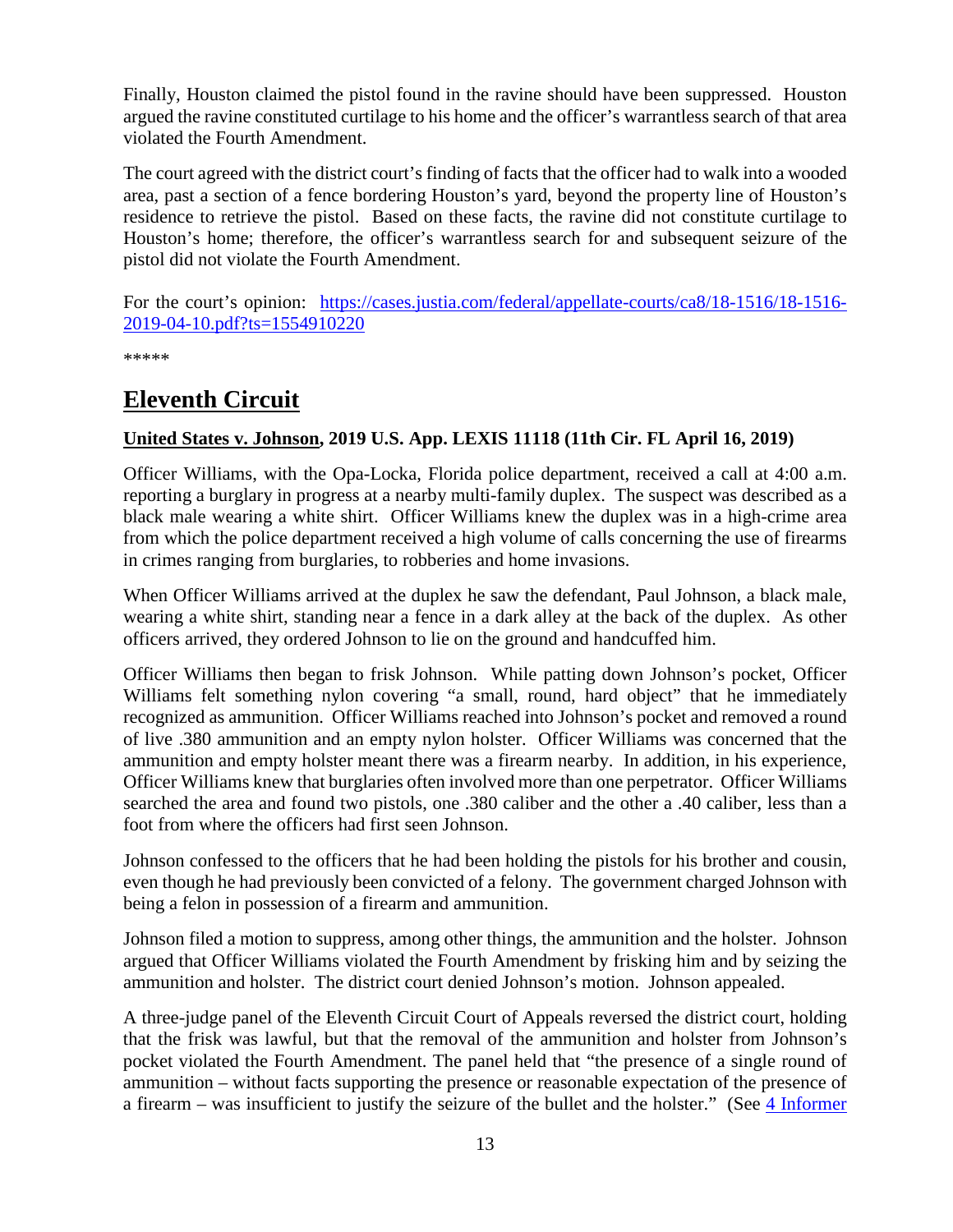Finally, Houston claimed the pistol found in the ravine should have been suppressed. Houston argued the ravine constituted curtilage to his home and the officer's warrantless search of that area violated the Fourth Amendment.

The court agreed with the district court's finding of facts that the officer had to walk into a wooded area, past a section of a fence bordering Houston's yard, beyond the property line of Houston's residence to retrieve the pistol. Based on these facts, the ravine did not constitute curtilage to Houston's home; therefore, the officer's warrantless search for and subsequent seizure of the pistol did not violate the Fourth Amendment.

For the court's opinion: [https://cases.justia.com/federal/appellate-courts/ca8/18-1516/18-1516-](https://cases.justia.com/federal/appellate-courts/ca8/18-1516/18-1516-2019-04-10.pdf?ts=1554910220) [2019-04-10.pdf?ts=1554910220](https://cases.justia.com/federal/appellate-courts/ca8/18-1516/18-1516-2019-04-10.pdf?ts=1554910220)

\*\*\*\*\*

# <span id="page-12-0"></span>**Eleventh Circuit**

### <span id="page-12-1"></span>**United States v. Johnson, 2019 U.S. App. LEXIS 11118 (11th Cir. FL April 16, 2019)**

Officer Williams, with the Opa-Locka, Florida police department, received a call at 4:00 a.m. reporting a burglary in progress at a nearby multi-family duplex. The suspect was described as a black male wearing a white shirt. Officer Williams knew the duplex was in a high-crime area from which the police department received a high volume of calls concerning the use of firearms in crimes ranging from burglaries, to robberies and home invasions.

When Officer Williams arrived at the duplex he saw the defendant, Paul Johnson, a black male, wearing a white shirt, standing near a fence in a dark alley at the back of the duplex. As other officers arrived, they ordered Johnson to lie on the ground and handcuffed him.

Officer Williams then began to frisk Johnson. While patting down Johnson's pocket, Officer Williams felt something nylon covering "a small, round, hard object" that he immediately recognized as ammunition. Officer Williams reached into Johnson's pocket and removed a round of live .380 ammunition and an empty nylon holster. Officer Williams was concerned that the ammunition and empty holster meant there was a firearm nearby. In addition, in his experience, Officer Williams knew that burglaries often involved more than one perpetrator. Officer Williams searched the area and found two pistols, one .380 caliber and the other a .40 caliber, less than a foot from where the officers had first seen Johnson.

Johnson confessed to the officers that he had been holding the pistols for his brother and cousin, even though he had previously been convicted of a felony. The government charged Johnson with being a felon in possession of a firearm and ammunition.

Johnson filed a motion to suppress, among other things, the ammunition and the holster. Johnson argued that Officer Williams violated the Fourth Amendment by frisking him and by seizing the ammunition and holster. The district court denied Johnson's motion. Johnson appealed.

A three-judge panel of the Eleventh Circuit Court of Appeals reversed the district court, holding that the frisk was lawful, but that the removal of the ammunition and holster from Johnson's pocket violated the Fourth Amendment. The panel held that "the presence of a single round of ammunition – without facts supporting the presence or reasonable expectation of the presence of a firearm – was insufficient to justify the seizure of the bullet and the holster." (See [4 Informer](https://www.fletc.gov/sites/default/files/4Informer18.pdf)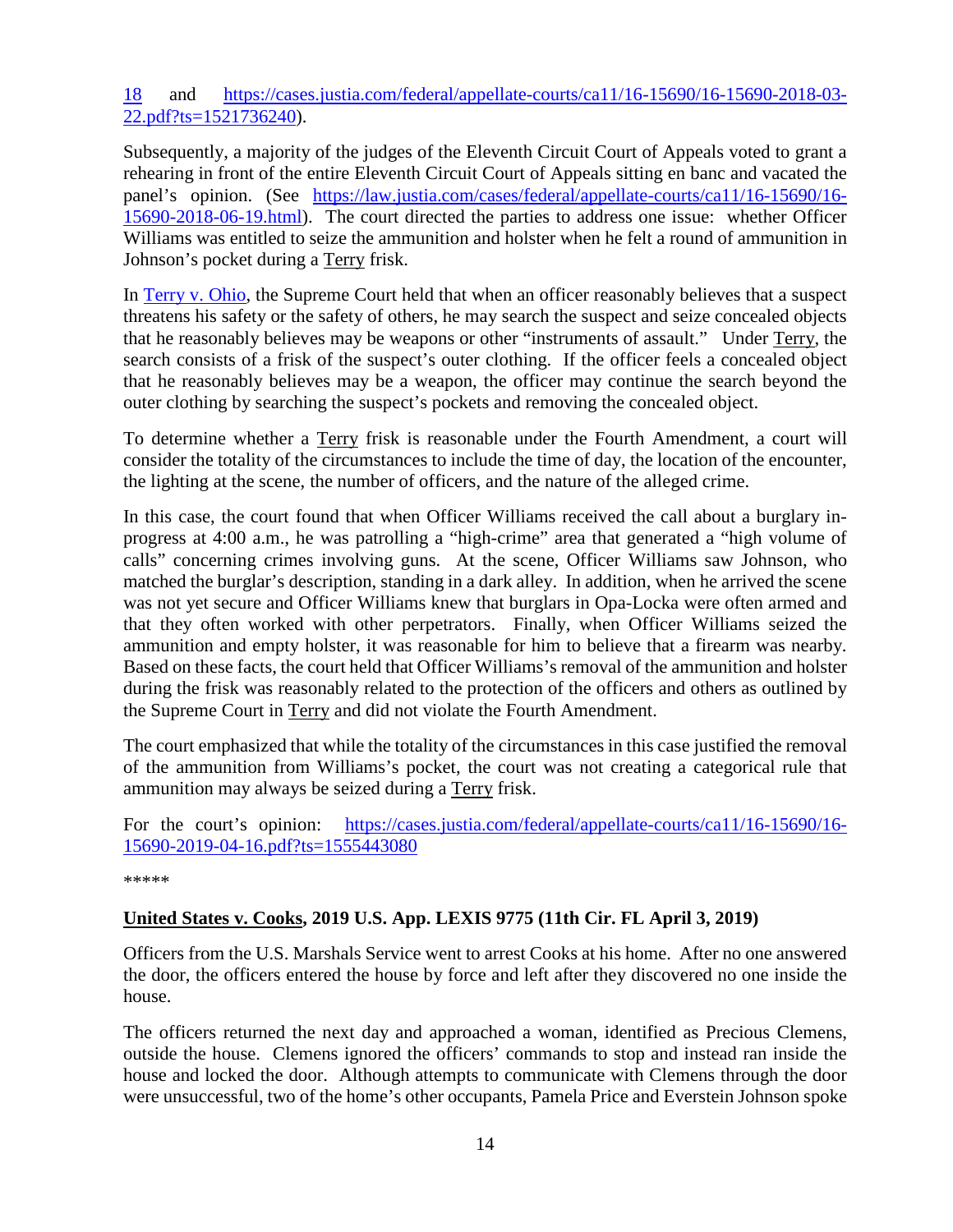[18](https://www.fletc.gov/sites/default/files/4Informer18.pdf) and [https://cases.justia.com/federal/appellate-courts/ca11/16-15690/16-15690-2018-03-](https://cases.justia.com/federal/appellate-courts/ca11/16-15690/16-15690-2018-03-22.pdf?ts=1521736240) [22.pdf?ts=1521736240\)](https://cases.justia.com/federal/appellate-courts/ca11/16-15690/16-15690-2018-03-22.pdf?ts=1521736240).

Subsequently, a majority of the judges of the Eleventh Circuit Court of Appeals voted to grant a rehearing in front of the entire Eleventh Circuit Court of Appeals sitting en banc and vacated the panel's opinion. (See [https://law.justia.com/cases/federal/appellate-courts/ca11/16-15690/16-](https://law.justia.com/cases/federal/appellate-courts/ca11/16-15690/16-15690-2018-06-19.html) [15690-2018-06-19.html\)](https://law.justia.com/cases/federal/appellate-courts/ca11/16-15690/16-15690-2018-06-19.html). The court directed the parties to address one issue: whether Officer Williams was entitled to seize the ammunition and holster when he felt a round of ammunition in Johnson's pocket during a Terry frisk.

In [Terry v. Ohio,](https://supreme.justia.com/cases/federal/us/392/1/) the Supreme Court held that when an officer reasonably believes that a suspect threatens his safety or the safety of others, he may search the suspect and seize concealed objects that he reasonably believes may be weapons or other "instruments of assault." Under Terry, the search consists of a frisk of the suspect's outer clothing. If the officer feels a concealed object that he reasonably believes may be a weapon, the officer may continue the search beyond the outer clothing by searching the suspect's pockets and removing the concealed object.

To determine whether a Terry frisk is reasonable under the Fourth Amendment, a court will consider the totality of the circumstances to include the time of day, the location of the encounter, the lighting at the scene, the number of officers, and the nature of the alleged crime.

In this case, the court found that when Officer Williams received the call about a burglary inprogress at 4:00 a.m., he was patrolling a "high-crime" area that generated a "high volume of calls" concerning crimes involving guns. At the scene, Officer Williams saw Johnson, who matched the burglar's description, standing in a dark alley. In addition, when he arrived the scene was not yet secure and Officer Williams knew that burglars in Opa-Locka were often armed and that they often worked with other perpetrators. Finally, when Officer Williams seized the ammunition and empty holster, it was reasonable for him to believe that a firearm was nearby. Based on these facts, the court held that Officer Williams's removal of the ammunition and holster during the frisk was reasonably related to the protection of the officers and others as outlined by the Supreme Court in Terry and did not violate the Fourth Amendment.

The court emphasized that while the totality of the circumstances in this case justified the removal of the ammunition from Williams's pocket, the court was not creating a categorical rule that ammunition may always be seized during a Terry frisk.

For the court's opinion: [https://cases.justia.com/federal/appellate-courts/ca11/16-15690/16-](https://cases.justia.com/federal/appellate-courts/ca11/16-15690/16-15690-2019-04-16.pdf?ts=1555443080) [15690-2019-04-16.pdf?ts=1555443080](https://cases.justia.com/federal/appellate-courts/ca11/16-15690/16-15690-2019-04-16.pdf?ts=1555443080)

\*\*\*\*\*

### <span id="page-13-0"></span>**United States v. Cooks, 2019 U.S. App. LEXIS 9775 (11th Cir. FL April 3, 2019)**

Officers from the U.S. Marshals Service went to arrest Cooks at his home. After no one answered the door, the officers entered the house by force and left after they discovered no one inside the house.

The officers returned the next day and approached a woman, identified as Precious Clemens, outside the house. Clemens ignored the officers' commands to stop and instead ran inside the house and locked the door. Although attempts to communicate with Clemens through the door were unsuccessful, two of the home's other occupants, Pamela Price and Everstein Johnson spoke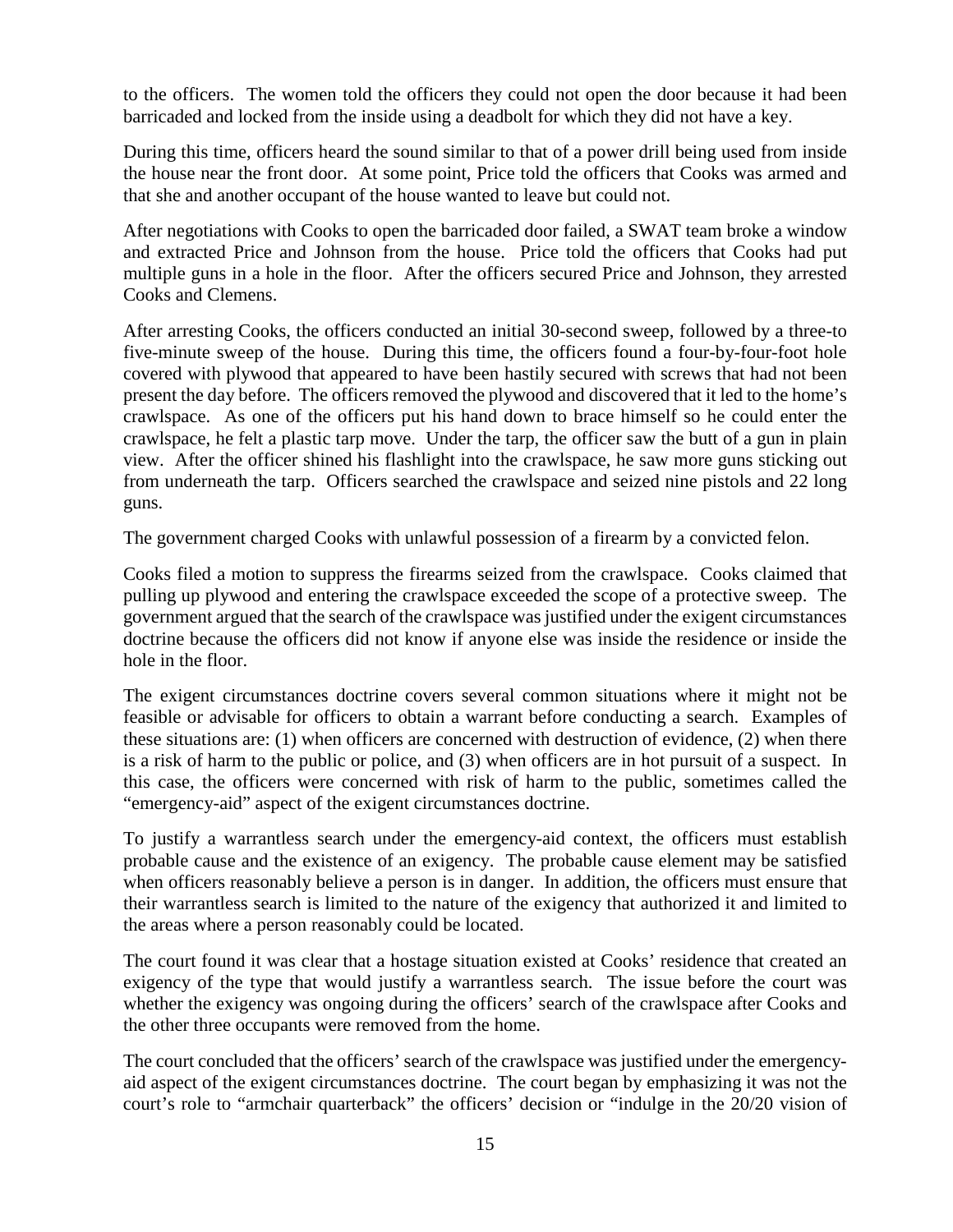to the officers. The women told the officers they could not open the door because it had been barricaded and locked from the inside using a deadbolt for which they did not have a key.

During this time, officers heard the sound similar to that of a power drill being used from inside the house near the front door. At some point, Price told the officers that Cooks was armed and that she and another occupant of the house wanted to leave but could not.

After negotiations with Cooks to open the barricaded door failed, a SWAT team broke a window and extracted Price and Johnson from the house. Price told the officers that Cooks had put multiple guns in a hole in the floor. After the officers secured Price and Johnson, they arrested Cooks and Clemens.

After arresting Cooks, the officers conducted an initial 30-second sweep, followed by a three-to five-minute sweep of the house. During this time, the officers found a four-by-four-foot hole covered with plywood that appeared to have been hastily secured with screws that had not been present the day before. The officers removed the plywood and discovered that it led to the home's crawlspace. As one of the officers put his hand down to brace himself so he could enter the crawlspace, he felt a plastic tarp move. Under the tarp, the officer saw the butt of a gun in plain view. After the officer shined his flashlight into the crawlspace, he saw more guns sticking out from underneath the tarp. Officers searched the crawlspace and seized nine pistols and 22 long guns.

The government charged Cooks with unlawful possession of a firearm by a convicted felon.

Cooks filed a motion to suppress the firearms seized from the crawlspace. Cooks claimed that pulling up plywood and entering the crawlspace exceeded the scope of a protective sweep. The government argued that the search of the crawlspace was justified under the exigent circumstances doctrine because the officers did not know if anyone else was inside the residence or inside the hole in the floor.

The exigent circumstances doctrine covers several common situations where it might not be feasible or advisable for officers to obtain a warrant before conducting a search. Examples of these situations are: (1) when officers are concerned with destruction of evidence, (2) when there is a risk of harm to the public or police, and (3) when officers are in hot pursuit of a suspect. In this case, the officers were concerned with risk of harm to the public, sometimes called the "emergency-aid" aspect of the exigent circumstances doctrine.

To justify a warrantless search under the emergency-aid context, the officers must establish probable cause and the existence of an exigency. The probable cause element may be satisfied when officers reasonably believe a person is in danger. In addition, the officers must ensure that their warrantless search is limited to the nature of the exigency that authorized it and limited to the areas where a person reasonably could be located.

The court found it was clear that a hostage situation existed at Cooks' residence that created an exigency of the type that would justify a warrantless search. The issue before the court was whether the exigency was ongoing during the officers' search of the crawlspace after Cooks and the other three occupants were removed from the home.

The court concluded that the officers' search of the crawlspace was justified under the emergencyaid aspect of the exigent circumstances doctrine. The court began by emphasizing it was not the court's role to "armchair quarterback" the officers' decision or "indulge in the 20/20 vision of